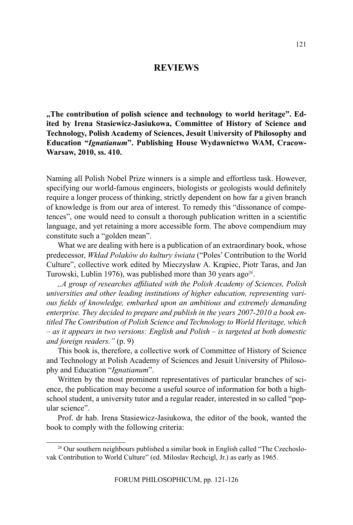## **Reviews**

**,,The contribution of polish science and technology to world heritage". Edited by Irena Stasiewicz-Jasiukowa, Committee of History of Science and Technology, Polish Academy of Sciences, Jesuit University of Philosophy and Education "***Ignatianum***". Publishing House Wydawnictwo WAM, Cracow-Warsaw, 2010, ss. 410.**

Naming all Polish Nobel Prize winners is a simple and effortless task. However, specifying our world-famous engineers, biologists or geologists would definitely require a longer process of thinking, strictly dependent on how far a given branch of knowledge is from our area of interest. To remedy this "dissonance of competences", one would need to consult a thorough publication written in a scientific language, and yet retaining a more accessible form. The above compendium may constitute such a "golden mean".

What we are dealing with here is a publication of an extraordinary book, whose predecessor, *Wkład Polaków do kultury świata* ("Poles' Contribution to the World Culture", collective work edited by Mieczysław A. Krąpiec, Piotr Taras, and Jan Turowski, Lublin 1976), was published more than 30 years ago<sup>26</sup>.

*,,A group of researches affiliated with the Polish Academy of Sciences, Polish universities and other leading institutions of higher education, representing various fields of knowledge, embarked upon an ambitious and extremely demanding enterprise. They decided to prepare and publish in the years 2007-2010 a book entitled The Contribution of Polish Science and Technology to World Heritage, which – as it appears in two versions: English and Polish – is targeted at both domestic and foreign readers."* (p. 9)

This book is, therefore, a collective work of Committee of History of Science and Technology at Polish Academy of Sciences and Jesuit University of Philosophy and Education "*Ignatianum*".

Written by the most prominent representatives of particular branches of science, the publication may become a useful source of information for both a highschool student, a university tutor and a regular reader, interested in so called "popular science".

Prof. dr hab. Irena Stasiewicz-Jasiukowa, the editor of the book, wanted the book to comply with the following criteria:

<sup>26</sup> Our southern neighbours published a similar book in English called "The Czechoslovak Contribution to World Culture" (ed. Miloslav Rechcigl, Jr.) as early as 1965.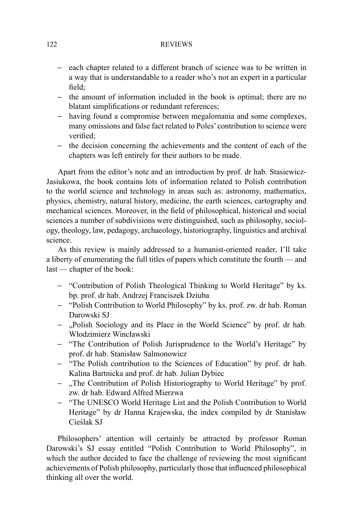### 122 REVIEWS

- each chapter related to a different branch of science was to be written in a way that is understandable to a reader who's not an expert in a particular field;
- the amount of information included in the book is optimal; there are no blatant simplifications or redundant references;
- having found a compromise between megalomania and some complexes, many omissions and false fact related to Poles' contribution to science were verified;
- the decision concerning the achievements and the content of each of the chapters was left entirely for their authors to be made.

Apart from the editor's note and an introduction by prof. dr hab. Stasiewicz-Jasiukowa, the book contains lots of information related to Polish contribution to the world science and technology in areas such as: astronomy, mathematics, physics, chemistry, natural history, medicine, the earth sciences, cartography and mechanical sciences. Moreover, in the field of philosophical, historical and social sciences a number of subdivisions were distinguished, such as philosophy, sociology, theology, law, pedagogy, archaeology, historiography, linguistics and archival science.

As this review is mainly addressed to a humanist-oriented reader, I'll take a liberty of enumerating the full titles of papers which constitute the fourth — and last — chapter of the book:

- "Contribution of Polish Theological Thinking to World Heritage" by ks. bp. prof. dr hab. Andrzej Franciszek Dziuba
- "Polish Contribution to World Philosophy" by ks. prof. zw. dr hab. Roman Darowski SJ
- "Polish Sociology and its Place in the World Science" by prof. dr hab. Włodzimierz Wincławski
- "The Contribution of Polish Jurisprudence to the World's Heritage" by prof. dr hab. Stanisław Salmonowicz
- "The Polish contribution to the Sciences of Education" by prof. dr hab. Kalina Bartnicka and prof. dr hab. Julian Dybiec
- "The Contribution of Polish Historiography to World Heritage" by prof. zw. dr hab. Edward Alfred Mierzwa
- "The UNESCO World Heritage List and the Polish Contribution to World Heritage" by dr Hanna Krajewska, the index compiled by dr Stanisław Cieślak SJ

Philosophers' attention will certainly be attracted by professor Roman Darowski's SJ essay entitled "Polish Contribution to World Philosophy", in which the author decided to face the challenge of reviewing the most significant achievements of Polish philosophy, particularly those that influenced philosophical thinking all over the world.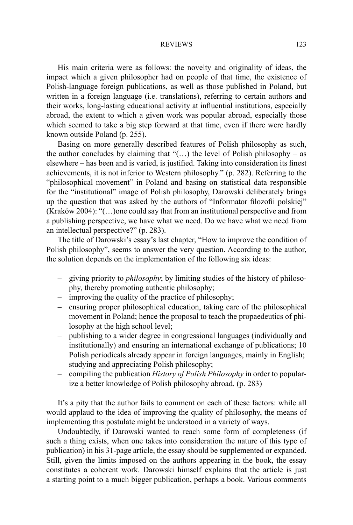#### REVIEWS 123

His main criteria were as follows: the novelty and originality of ideas, the impact which a given philosopher had on people of that time, the existence of Polish-language foreign publications, as well as those published in Poland, but written in a foreign language (i.e. translations), referring to certain authors and their works, long-lasting educational activity at influential institutions, especially abroad, the extent to which a given work was popular abroad, especially those which seemed to take a big step forward at that time, even if there were hardly known outside Poland (p. 255).

Basing on more generally described features of Polish philosophy as such, the author concludes by claiming that " $(...)$  the level of Polish philosophy – as elsewhere – has been and is varied, is justified. Taking into consideration its finest achievements, it is not inferior to Western philosophy." (p. 282). Referring to the "philosophical movement" in Poland and basing on statistical data responsible for the "institutional" image of Polish philosophy, Darowski deliberately brings up the question that was asked by the authors of "Informator filozofii polskiej" (Kraków 2004): "(…)one could say that from an institutional perspective and from a publishing perspective, we have what we need. Do we have what we need from an intellectual perspective?" (p. 283).

The title of Darowski's essay's last chapter, "How to improve the condition of Polish philosophy", seems to answer the very question. According to the author, the solution depends on the implementation of the following six ideas:

- giving priority to *philosophy*; by limiting studies of the history of philosophy, thereby promoting authentic philosophy;
- improving the quality of the practice of philosophy;
- ensuring proper philosophical education, taking care of the philosophical movement in Poland; hence the proposal to teach the propaedeutics of philosophy at the high school level;
- publishing to a wider degree in congressional languages (individually and institutionally) and ensuring an international exchange of publications; 10 Polish periodicals already appear in foreign languages, mainly in English;
- studying and appreciating Polish philosophy;
- compiling the publication *History of Polish Philosophy* in order to popularize a better knowledge of Polish philosophy abroad. (p. 283)

It's a pity that the author fails to comment on each of these factors: while all would applaud to the idea of improving the quality of philosophy, the means of implementing this postulate might be understood in a variety of ways.

Undoubtedly, if Darowski wanted to reach some form of completeness (if such a thing exists, when one takes into consideration the nature of this type of publication) in his 31-page article, the essay should be supplemented or expanded. Still, given the limits imposed on the authors appearing in the book, the essay constitutes a coherent work. Darowski himself explains that the article is just a starting point to a much bigger publication, perhaps a book. Various comments